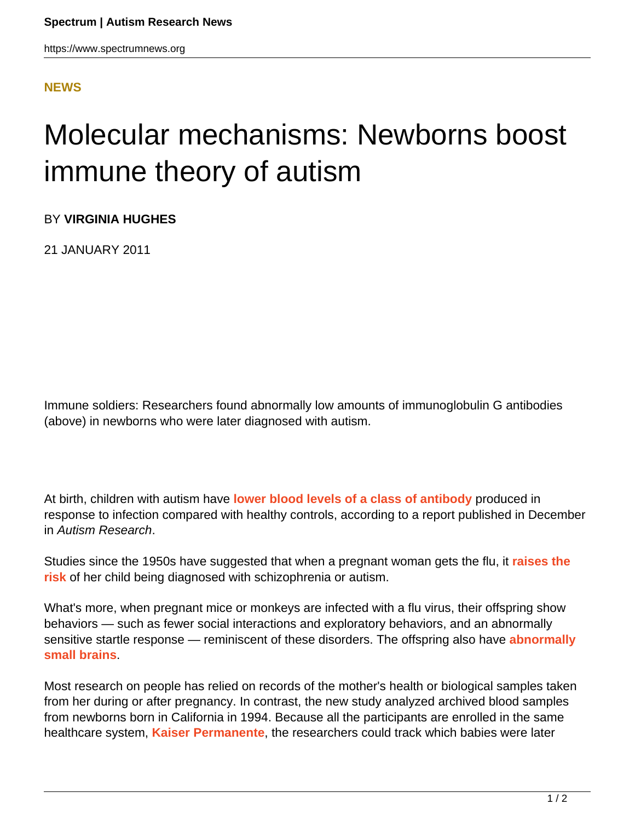https://www.spectrumnews.org

## **[NEWS](HTTPS://WWW.SPECTRUMNEWS.ORG/NEWS/)**

## Molecular mechanisms: Newborns boost immune theory of autism

BY **VIRGINIA HUGHES**

21 JANUARY 2011

Immune soldiers: Researchers found abnormally low amounts of immunoglobulin G antibodies (above) in newborns who were later diagnosed with autism.

At birth, children with autism have **[lower blood levels of a class of antibody](http://dx.doi.org/10.1002/aur.160)** produced in response to infection compared with healthy controls, according to a report published in December in Autism Research.

Studies since the 1950s have suggested that when a pregnant woman gets the flu, it **[raises the](https://www.spectrumnews.org/news/2008/experts-tease-out-maternal-infections-link-to-autism) [risk](https://www.spectrumnews.org/news/2008/experts-tease-out-maternal-infections-link-to-autism)** of her child being diagnosed with schizophrenia or autism.

What's more, when pregnant mice or monkeys are infected with a flu virus, their offspring show behaviors — such as fewer social interactions and exploratory behaviors, and an abnormally sensitive startle response — reminiscent of these disorders. The offspring also have **[abnormally](https://www.spectrumnews.org/news/2010/flu-triggers-schizophrenia-like-features-in-monkeys) [small brains](https://www.spectrumnews.org/news/2010/flu-triggers-schizophrenia-like-features-in-monkeys)**.

Most research on people has relied on records of the mother's health or biological samples taken from her during or after pregnancy. In contrast, the new study analyzed archived blood samples from newborns born in California in 1994. Because all the participants are enrolled in the same healthcare system, **[Kaiser Permanente](https://www.kaiserpermanente.org/)**, the researchers could track which babies were later